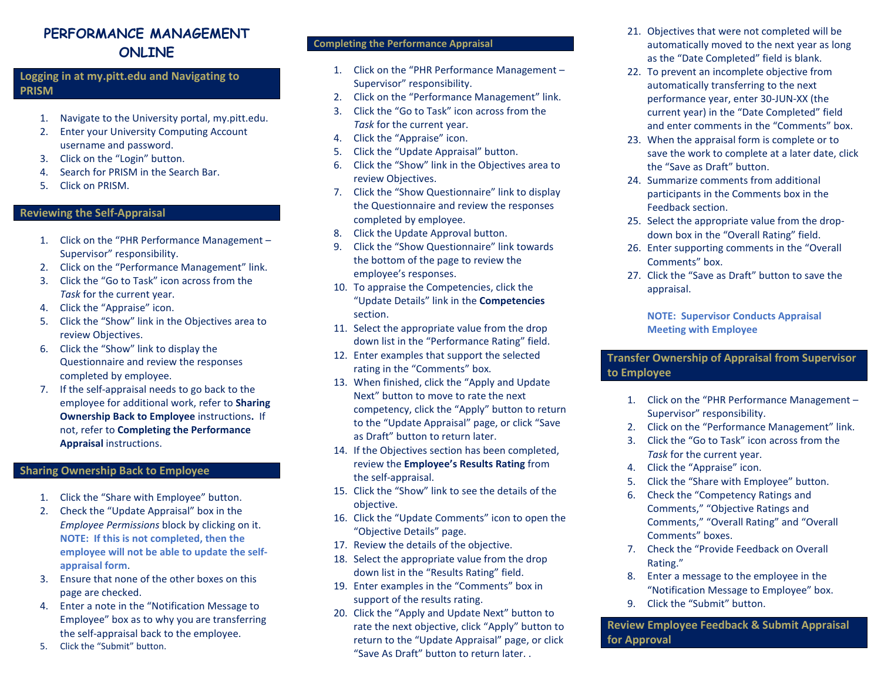## **PERFORMANCE MANAGEMENT ONLINE**

**Logging in at my.pitt.edu and Navigating to PRISM**

- 1. Navigate to the University portal, my.pitt.edu.
- 2. Enter your University Computing Account username and password.
- 3. Click on the "Login" button.
- 4. Search for PRISM in the Search Bar.
- 5. Click on PRISM.

### **Reviewing the Self-Appraisal**

- 1. Click on the "PHR Performance Management Supervisor" responsibility.
- 2. Click on the "Performance Management" link.
- 3. Click the "Go to Task" icon across from the *Task* for the current year.
- 4. Click the "Appraise" icon.
- 5. Click the "Show" link in the Objectives area to review Objectives.
- 6. Click the "Show" link to display the Questionnaire and review the responses completed by employee.
- 7. If the self-appraisal needs to go back to the employee for additional work, refer to **Sharing Ownership Back to Employee** instructions**.** If not, refer to **Completing the Performance Appraisal** instructions.

#### **Sharing Ownership Back to Employee**

- 1. Click the "Share with Employee" button.
- 2. Check the "Update Appraisal" box in the *Employee Permissions* block by clicking on it. **NOTE: If this is not completed, then the employee will not be able to update the selfappraisal form**.
- 3. Ensure that none of the other boxes on this page are checked.
- 4. Enter a note in the "Notification Message to Employee" box as to why you are transferring the self-appraisal back to the employee.
- 5. Click the "Submit" button.

#### **Completing the Performance Appraisal**

- 1. Click on the "PHR Performance Management Supervisor" responsibility.
- 2. Click on the "Performance Management" link.
- 3. Click the "Go to Task" icon across from the *Task* for the current year.
- 4. Click the "Appraise" icon.
- 5. Click the "Update Appraisal" button.
- 6. Click the "Show" link in the Objectives area to review Objectives.
- 7. Click the "Show Questionnaire" link to display the Questionnaire and review the responses completed by employee.
- 8. Click the Update Approval button.
- 9. Click the "Show Questionnaire" link towards the bottom of the page to review the employee's responses.
- 10. To appraise the Competencies, click the "Update Details" link in the **Competencies** section.
- 11. Select the appropriate value from the drop down list in the "Performance Rating" field.
- 12. Enter examples that support the selected rating in the "Comments" box.
- 13. When finished, click the "Apply and Update Next" button to move to rate the next competency, click the "Apply" button to return to the "Update Appraisal" page, or click "Save as Draft" button to return later.
- 14. If the Objectives section has been completed, review the **Employee's Results Rating** from the self-appraisal.
- 15. Click the "Show" link to see the details of the objective.
- 16. Click the "Update Comments" icon to open the "Objective Details" page.
- 17. Review the details of the objective.
- 18. Select the appropriate value from the drop down list in the "Results Rating" field.
- 19. Enter examples in the "Comments" box in support of the results rating.
- 20. Click the "Apply and Update Next" button to rate the next objective, click "Apply" button to return to the "Update Appraisal" page, or click "Save As Draft" button to return later. .
- 21. Objectives that were not completed will be automatically moved to the next year as long as the "Date Completed" field is blank.
- 22. To prevent an incomplete objective from automatically transferring to the next performance year, enter 30-JUN-XX (the current year) in the "Date Completed" field and enter comments in the "Comments" box.
- 23. When the appraisal form is complete or to save the work to complete at a later date, click the "Save as Draft" button.
- 24. Summarize comments from additional participants in the Comments box in the Feedback section.
- 25. Select the appropriate value from the dropdown box in the "Overall Rating" field.
- 26. Enter supporting comments in the "Overall Comments" box.
- 27. Click the "Save as Draft" button to save the appraisal.

**NOTE: Supervisor Conducts Appraisal Meeting with Employee**

**Transfer Ownership of Appraisal from Supervisor to Employee** 

- 1. Click on the "PHR Performance Management Supervisor" responsibility.
- 2. Click on the "Performance Management" link.
- 3. Click the "Go to Task" icon across from the *Task* for the current year.
- 4. Click the "Appraise" icon.
- 5. Click the "Share with Employee" button.
- 6. Check the "Competency Ratings and Comments," "Objective Ratings and Comments," "Overall Rating" and "Overall Comments" boxes.
- 7. Check the "Provide Feedback on Overall Rating."
- 8. Enter a message to the employee in the "Notification Message to Employee" box.
- 9. Click the "Submit" button.

**Review Employee Feedback & Submit Appraisal for Approval**